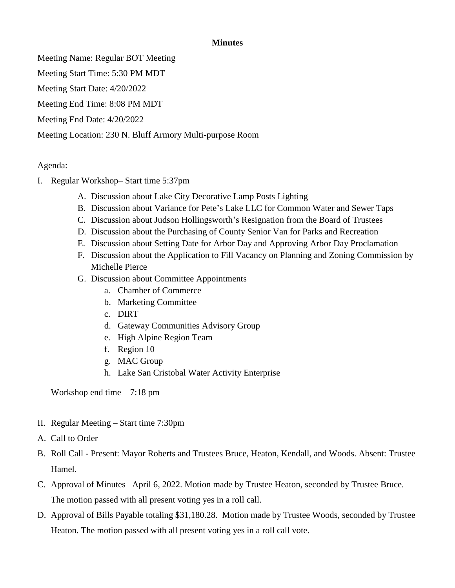## **Minutes**

Meeting Name: Regular BOT Meeting

Meeting Start Time: 5:30 PM MDT

Meeting Start Date: 4/20/2022

Meeting End Time: 8:08 PM MDT

Meeting End Date: 4/20/2022

Meeting Location: 230 N. Bluff Armory Multi-purpose Room

Agenda:

- I. Regular Workshop– Start time 5:37pm
	- A. Discussion about Lake City Decorative Lamp Posts Lighting
	- B. Discussion about Variance for Pete's Lake LLC for Common Water and Sewer Taps
	- C. Discussion about Judson Hollingsworth's Resignation from the Board of Trustees
	- D. Discussion about the Purchasing of County Senior Van for Parks and Recreation
	- E. Discussion about Setting Date for Arbor Day and Approving Arbor Day Proclamation
	- F. Discussion about the Application to Fill Vacancy on Planning and Zoning Commission by Michelle Pierce
	- G. Discussion about Committee Appointments
		- a. Chamber of Commerce
		- b. Marketing Committee
		- c. DIRT
		- d. Gateway Communities Advisory Group
		- e. High Alpine Region Team
		- f. Region 10
		- g. MAC Group
		- h. Lake San Cristobal Water Activity Enterprise

Workshop end time – 7:18 pm

- II. Regular Meeting Start time 7:30pm
- A. Call to Order
- B. Roll Call Present: Mayor Roberts and Trustees Bruce, Heaton, Kendall, and Woods. Absent: Trustee Hamel.
- C. Approval of Minutes –April 6, 2022. Motion made by Trustee Heaton, seconded by Trustee Bruce. The motion passed with all present voting yes in a roll call.
- D. Approval of Bills Payable totaling \$31,180.28. Motion made by Trustee Woods, seconded by Trustee Heaton. The motion passed with all present voting yes in a roll call vote.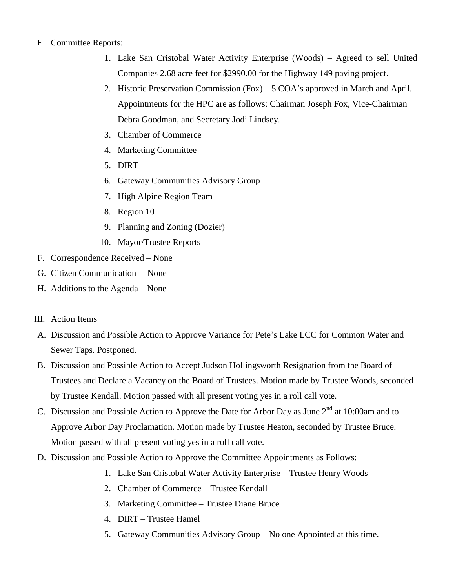## E. Committee Reports:

- 1. Lake San Cristobal Water Activity Enterprise (Woods) Agreed to sell United Companies 2.68 acre feet for \$2990.00 for the Highway 149 paving project.
- 2. Historic Preservation Commission (Fox) 5 COA's approved in March and April. Appointments for the HPC are as follows: Chairman Joseph Fox, Vice-Chairman Debra Goodman, and Secretary Jodi Lindsey.
- 3. Chamber of Commerce
- 4. Marketing Committee
- 5. DIRT
- 6. Gateway Communities Advisory Group
- 7. High Alpine Region Team
- 8. Region 10
- 9. Planning and Zoning (Dozier)
- 10. Mayor/Trustee Reports
- F. Correspondence Received None
- G. Citizen Communication None
- H. Additions to the Agenda None
- III. Action Items
- A. Discussion and Possible Action to Approve Variance for Pete's Lake LCC for Common Water and Sewer Taps. Postponed.
- B. Discussion and Possible Action to Accept Judson Hollingsworth Resignation from the Board of Trustees and Declare a Vacancy on the Board of Trustees. Motion made by Trustee Woods, seconded by Trustee Kendall. Motion passed with all present voting yes in a roll call vote.
- C. Discussion and Possible Action to Approve the Date for Arbor Day as June 2<sup>nd</sup> at 10:00am and to Approve Arbor Day Proclamation. Motion made by Trustee Heaton, seconded by Trustee Bruce. Motion passed with all present voting yes in a roll call vote.
- D. Discussion and Possible Action to Approve the Committee Appointments as Follows:
	- 1. Lake San Cristobal Water Activity Enterprise Trustee Henry Woods
	- 2. Chamber of Commerce Trustee Kendall
	- 3. Marketing Committee Trustee Diane Bruce
	- 4. DIRT Trustee Hamel
	- 5. Gateway Communities Advisory Group No one Appointed at this time.